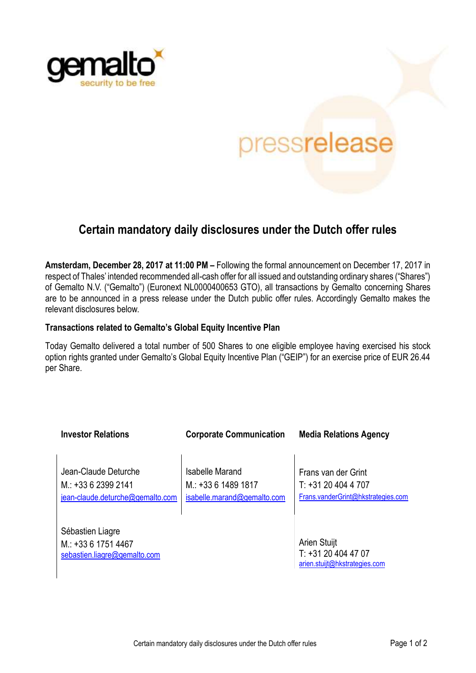

## pressrelease

## **Certain mandatory daily disclosures under the Dutch offer rules**

**Amsterdam, December 28, 2017 at 11:00 PM –** Following the formal announcement on December 17, 2017 in respect of Thales' intended recommended all-cash offer for all issued and outstanding ordinary shares ("Shares") of Gemalto N.V. ("Gemalto") (Euronext NL0000400653 GTO), all transactions by Gemalto concerning Shares are to be announced in a press release under the Dutch public offer rules. Accordingly Gemalto makes the relevant disclosures below.

## **Transactions related to Gemalto's Global Equity Incentive Plan**

Today Gemalto delivered a total number of 500 Shares to one eligible employee having exercised his stock option rights granted under Gemalto's Global Equity Incentive Plan ("GEIP") for an exercise price of EUR 26.44 per Share.

| <b>Investor Relations</b>                                                     | <b>Corporate Communication</b>                                      | <b>Media Relations Agency</b>                                                  |
|-------------------------------------------------------------------------------|---------------------------------------------------------------------|--------------------------------------------------------------------------------|
| Jean-Claude Deturche<br>$M: +33623992141$<br>jean-claude.deturche@gemalto.com | Isabelle Marand<br>$M: +33614891817$<br>isabelle.marand@gemalto.com | Frans van der Grint<br>$T: +31204044707$<br>Frans.vanderGrint@hkstrategies.com |
| Sébastien Liagre<br>M.: +33 6 1751 4467<br>sebastien.liagre@gemalto.com       |                                                                     | Arien Stuijt<br>T: +31 20 404 47 07<br>arien.stuijt@hkstrategies.com           |